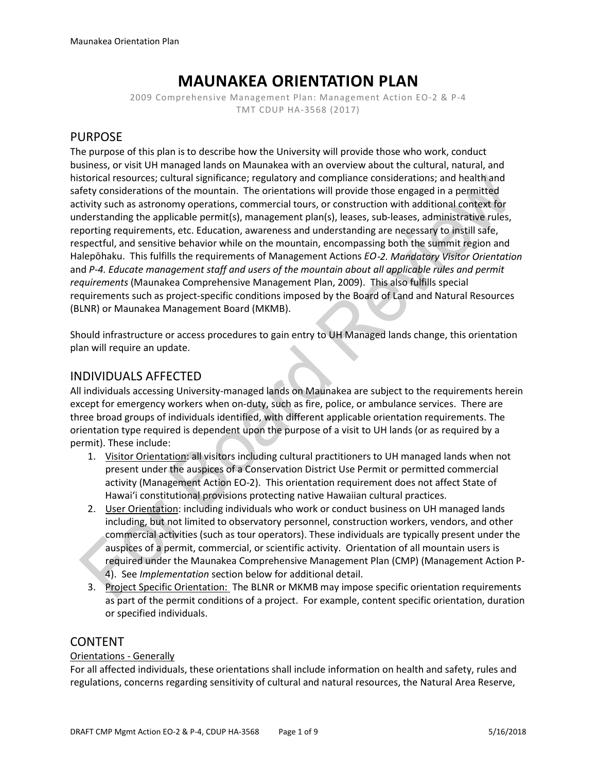# **MAUNAKEA ORIENTATION PLAN**

2009 Comprehensive Management Plan: Management Action EO-2 & P-4 TMT CDUP HA-3568 (2017)

## PURPOSE

The purpose of this plan is to describe how the University will provide those who work, conduct business, or visit UH managed lands on Maunakea with an overview about the cultural, natural, and historical resources; cultural significance; regulatory and compliance considerations; and health and safety considerations of the mountain. The orientations will provide those engaged in a permitted activity such as astronomy operations, commercial tours, or construction with additional context for understanding the applicable permit(s), management plan(s), leases, sub-leases, administrative rules, reporting requirements, etc. Education, awareness and understanding are necessary to instill safe, respectful, and sensitive behavior while on the mountain, encompassing both the summit region and Halepōhaku. This fulfills the requirements of Management Actions *EO*‐*2. Mandatory Visitor Orientation* and *P-4. Educate management staff and users of the mountain about all applicable rules and permit requirements* (Maunakea Comprehensive Management Plan, 2009). This also fulfills special requirements such as project-specific conditions imposed by the Board of Land and Natural Resources (BLNR) or Maunakea Management Board (MKMB).

Should infrastructure or access procedures to gain entry to UH Managed lands change, this orientation plan will require an update.

## INDIVIDUALS AFFECTED

All individuals accessing University-managed lands on Maunakea are subject to the requirements herein except for emergency workers when on-duty, such as fire, police, or ambulance services. There are three broad groups of individuals identified, with different applicable orientation requirements. The orientation type required is dependent upon the purpose of a visit to UH lands (or as required by a permit). These include:

- 1. Visitor Orientation: all visitors including cultural practitioners to UH managed lands when not present under the auspices of a Conservation District Use Permit or permitted commercial activity (Management Action EO-2). This orientation requirement does not affect State of Hawaiʻi constitutional provisions protecting native Hawaiian cultural practices.
- 2. User Orientation: including individuals who work or conduct business on UH managed lands including, but not limited to observatory personnel, construction workers, vendors, and other commercial activities (such as tour operators). These individuals are typically present under the auspices of a permit, commercial, or scientific activity. Orientation of all mountain users is required under the Maunakea Comprehensive Management Plan (CMP) (Management Action P-4). See *Implementation* section below for additional detail.
- 3. Project Specific Orientation: The BLNR or MKMB may impose specific orientation requirements as part of the permit conditions of a project. For example, content specific orientation, duration or specified individuals.

## CONTENT

#### Orientations - Generally

For all affected individuals, these orientations shall include information on health and safety, rules and regulations, concerns regarding sensitivity of cultural and natural resources, the Natural Area Reserve,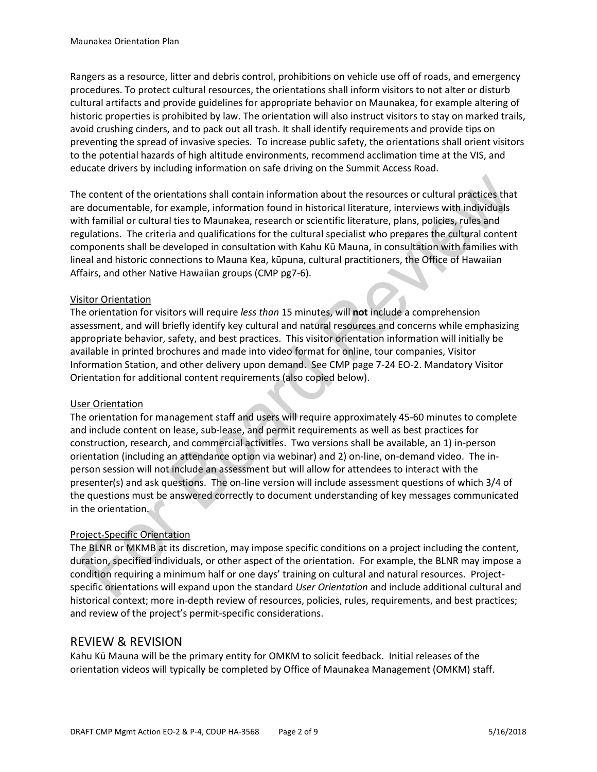Rangers as a resource, litter and debris control, prohibitions on vehicle use off of roads, and emergency procedures. To protect cultural resources, the orientations shall inform visitors to not alter or disturb cultural artifacts and provide guidelines for appropriate behavior on Maunakea, for example altering of historic properties is prohibited by law. The orientation will also instruct visitors to stay on marked trails, avoid crushing cinders, and to pack out all trash. It shall identify requirements and provide tips on preventing the spread of invasive species. To increase public safety, the orientations shall orient visitors to the potential hazards of high altitude environments, recommend acclimation time at the VIS, and educate drivers by including information on safe driving on the Summit Access Road.

The content of the orientations shall contain information about the resources or cultural practices that are documentable, for example, information found in historical literature, interviews with individuals with familial or cultural ties to Maunakea, research or scientific literature, plans, policies, rules and regulations. The criteria and qualifications for the cultural specialist who prepares the cultural content components shall be developed in consultation with Kahu Kū Mauna, in consultation with families with lineal and historic connections to Mauna Kea, kūpuna, cultural practitioners, the Office of Hawaiian Affairs, and other Native Hawaiian groups (CMP pg7-6).

#### Visitor Orientation

The orientation for visitors will require *less than* 15 minutes, will **not** include a comprehension assessment, and will briefly identify key cultural and natural resources and concerns while emphasizing appropriate behavior, safety, and best practices. This visitor orientation information will initially be available in printed brochures and made into video format for online, tour companies, Visitor Information Station, and other delivery upon demand. See CMP page 7-24 EO-2. Mandatory Visitor Orientation for additional content requirements (also copied below).

#### User Orientation

The orientation for management staff and users will require approximately 45-60 minutes to complete and include content on lease, sub-lease, and permit requirements as well as best practices for construction, research, and commercial activities. Two versions shall be available, an 1) in-person orientation (including an attendance option via webinar) and 2) on-line, on-demand video. The inperson session will not include an assessment but will allow for attendees to interact with the presenter(s) and ask questions. The on-line version will include assessment questions of which 3/4 of the questions must be answered correctly to document understanding of key messages communicated in the orientation.

#### Project-Specific Orientation

The BLNR or MKMB at its discretion, may impose specific conditions on a project including the content, duration, specified individuals, or other aspect of the orientation. For example, the BLNR may impose a condition requiring a minimum half or one days' training on cultural and natural resources. Projectspecific orientations will expand upon the standard *User Orientation* and include additional cultural and historical context; more in-depth review of resources, policies, rules, requirements, and best practices; and review of the project's permit-specific considerations.

#### REVIEW & REVISION

Kahu Kū Mauna will be the primary entity for OMKM to solicit feedback. Initial releases of the orientation videos will typically be completed by Office of Maunakea Management (OMKM) staff.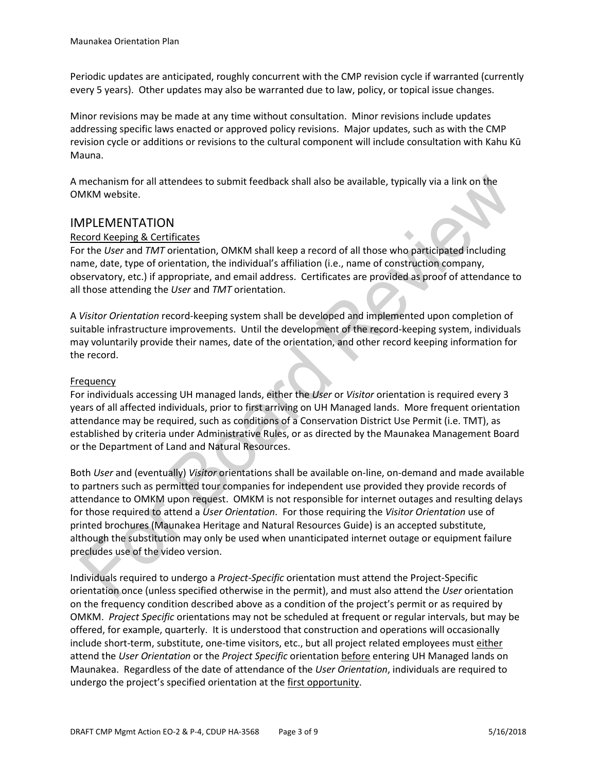Periodic updates are anticipated, roughly concurrent with the CMP revision cycle if warranted (currently every 5 years). Other updates may also be warranted due to law, policy, or topical issue changes.

Minor revisions may be made at any time without consultation. Minor revisions include updates addressing specific laws enacted or approved policy revisions. Major updates, such as with the CMP revision cycle or additions or revisions to the cultural component will include consultation with Kahu Kū Mauna.

A mechanism for all attendees to submit feedback shall also be available, typically via a link on the OMKM website.

### IMPLEMENTATION

#### Record Keeping & Certificates

For the *User* and *TMT* orientation, OMKM shall keep a record of all those who participated including name, date, type of orientation, the individual's affiliation (i.e., name of construction company, observatory, etc.) if appropriate, and email address. Certificates are provided as proof of attendance to all those attending the *User* and *TMT* orientation.

A *Visitor Orientation* record-keeping system shall be developed and implemented upon completion of suitable infrastructure improvements. Until the development of the record-keeping system, individuals may voluntarily provide their names, date of the orientation, and other record keeping information for the record.

#### Frequency

For individuals accessing UH managed lands, either the *User* or *Visitor* orientation is required every 3 years of all affected individuals, prior to first arriving on UH Managed lands. More frequent orientation attendance may be required, such as conditions of a Conservation District Use Permit (i.e. TMT), as established by criteria under Administrative Rules, or as directed by the Maunakea Management Board or the Department of Land and Natural Resources.

Both *User* and (eventually) *Visitor* orientations shall be available on-line, on-demand and made available to partners such as permitted tour companies for independent use provided they provide records of attendance to OMKM upon request. OMKM is not responsible for internet outages and resulting delays for those required to attend a *User Orientation*. For those requiring the *Visitor Orientation* use of printed brochures (Maunakea Heritage and Natural Resources Guide) is an accepted substitute, although the substitution may only be used when unanticipated internet outage or equipment failure precludes use of the video version.

Individuals required to undergo a *Project-Specific* orientation must attend the Project-Specific orientation once (unless specified otherwise in the permit), and must also attend the *User* orientation on the frequency condition described above as a condition of the project's permit or as required by OMKM. *Project Specific* orientations may not be scheduled at frequent or regular intervals, but may be offered, for example, quarterly. It is understood that construction and operations will occasionally include short-term, substitute, one-time visitors, etc., but all project related employees must either attend the *User Orientation* or the *Project Specific* orientation before entering UH Managed lands on Maunakea. Regardless of the date of attendance of the *User Orientation*, individuals are required to undergo the project's specified orientation at the first opportunity.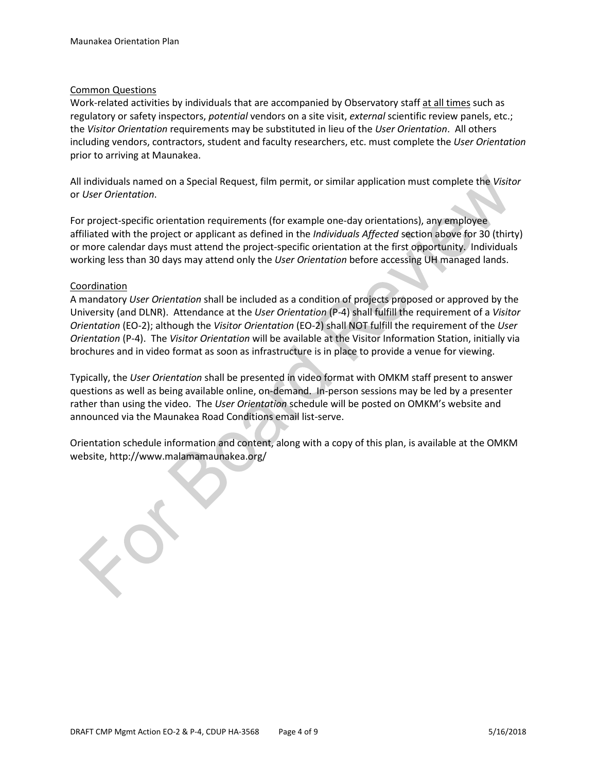#### Common Questions

Work-related activities by individuals that are accompanied by Observatory staff at all times such as regulatory or safety inspectors, *potential* vendors on a site visit, *external* scientific review panels, etc.; the *Visitor Orientation* requirements may be substituted in lieu of the *User Orientation*. All others including vendors, contractors, student and faculty researchers, etc. must complete the *User Orientation* prior to arriving at Maunakea.

All individuals named on a Special Request, film permit, or similar application must complete the *Visitor* or *User Orientation*.

For project-specific orientation requirements (for example one-day orientations), any employee affiliated with the project or applicant as defined in the *Individuals Affected* section above for 30 (thirty) or more calendar days must attend the project-specific orientation at the first opportunity. Individuals working less than 30 days may attend only the *User Orientation* before accessing UH managed lands.

#### **Coordination**

A mandatory *User Orientation* shall be included as a condition of projects proposed or approved by the University (and DLNR). Attendance at the *User Orientation* (P-4) shall fulfill the requirement of a *Visitor Orientation* (EO-2); although the *Visitor Orientation* (EO-2) shall NOT fulfill the requirement of the *User Orientation* (P-4). The *Visitor Orientation* will be available at the Visitor Information Station, initially via brochures and in video format as soon as infrastructure is in place to provide a venue for viewing.

Typically, the *User Orientation* shall be presented in video format with OMKM staff present to answer questions as well as being available online, on-demand. In-person sessions may be led by a presenter rather than using the video. The *User Orientation* schedule will be posted on OMKM's website and announced via the Maunakea Road Conditions email list-serve.

Orientation schedule information and content, along with a copy of this plan, is available at the OMKM website, http://www.malamamaunakea.org/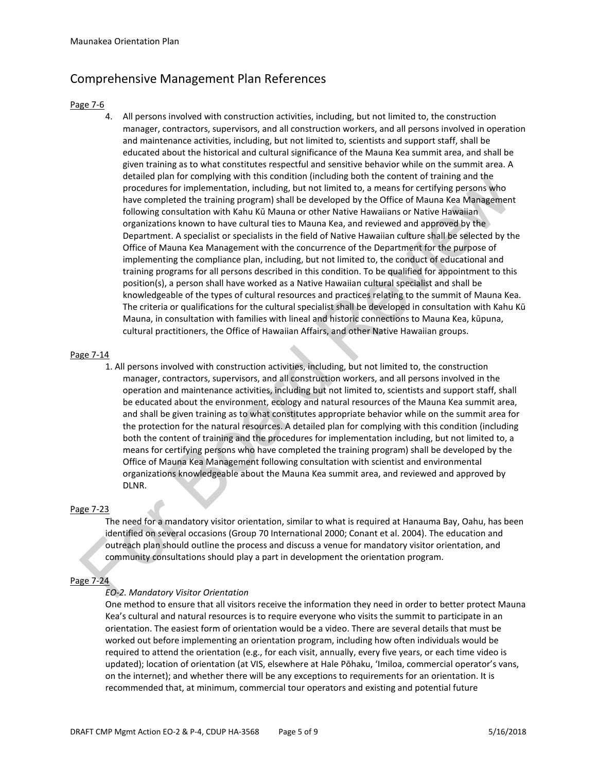## Comprehensive Management Plan References

#### Page 7-6

4. All persons involved with construction activities, including, but not limited to, the construction manager, contractors, supervisors, and all construction workers, and all persons involved in operation and maintenance activities, including, but not limited to, scientists and support staff, shall be educated about the historical and cultural significance of the Mauna Kea summit area, and shall be given training as to what constitutes respectful and sensitive behavior while on the summit area. A detailed plan for complying with this condition (including both the content of training and the procedures for implementation, including, but not limited to, a means for certifying persons who have completed the training program) shall be developed by the Office of Mauna Kea Management following consultation with Kahu Kū Mauna or other Native Hawaiians or Native Hawaiian organizations known to have cultural ties to Mauna Kea, and reviewed and approved by the Department. A specialist or specialists in the field of Native Hawaiian culture shall be selected by the Office of Mauna Kea Management with the concurrence of the Department for the purpose of implementing the compliance plan, including, but not limited to, the conduct of educational and training programs for all persons described in this condition. To be qualified for appointment to this position(s), a person shall have worked as a Native Hawaiian cultural specialist and shall be knowledgeable of the types of cultural resources and practices relating to the summit of Mauna Kea. The criteria or qualifications for the cultural specialist shall be developed in consultation with Kahu Kū Mauna, in consultation with families with lineal and historic connections to Mauna Kea, kūpuna, cultural practitioners, the Office of Hawaiian Affairs, and other Native Hawaiian groups.

#### Page 7-14

1. All persons involved with construction activities, including, but not limited to, the construction manager, contractors, supervisors, and all construction workers, and all persons involved in the operation and maintenance activities, including but not limited to, scientists and support staff, shall be educated about the environment, ecology and natural resources of the Mauna Kea summit area, and shall be given training as to what constitutes appropriate behavior while on the summit area for the protection for the natural resources. A detailed plan for complying with this condition (including both the content of training and the procedures for implementation including, but not limited to, a means for certifying persons who have completed the training program) shall be developed by the Office of Mauna Kea Management following consultation with scientist and environmental organizations knowledgeable about the Mauna Kea summit area, and reviewed and approved by DLNR.

#### Page 7-23

The need for a mandatory visitor orientation, similar to what is required at Hanauma Bay, Oahu, has been identified on several occasions (Group 70 International 2000; Conant et al. 2004). The education and outreach plan should outline the process and discuss a venue for mandatory visitor orientation, and community consultations should play a part in development the orientation program.

#### Page 7-24

#### *EO-2. Mandatory Visitor Orientation*

One method to ensure that all visitors receive the information they need in order to better protect Mauna Kea's cultural and natural resources is to require everyone who visits the summit to participate in an orientation. The easiest form of orientation would be a video. There are several details that must be worked out before implementing an orientation program, including how often individuals would be required to attend the orientation (e.g., for each visit, annually, every five years, or each time video is updated); location of orientation (at VIS, elsewhere at Hale Pōhaku, 'Imiloa, commercial operator's vans, on the internet); and whether there will be any exceptions to requirements for an orientation. It is recommended that, at minimum, commercial tour operators and existing and potential future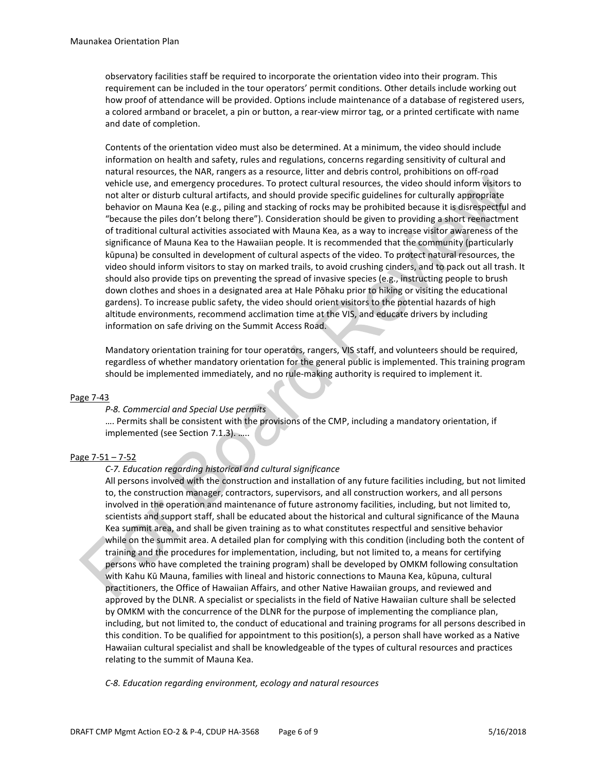observatory facilities staff be required to incorporate the orientation video into their program. This requirement can be included in the tour operators' permit conditions. Other details include working out how proof of attendance will be provided. Options include maintenance of a database of registered users, a colored armband or bracelet, a pin or button, a rear-view mirror tag, or a printed certificate with name and date of completion.

Contents of the orientation video must also be determined. At a minimum, the video should include information on health and safety, rules and regulations, concerns regarding sensitivity of cultural and natural resources, the NAR, rangers as a resource, litter and debris control, prohibitions on off-road vehicle use, and emergency procedures. To protect cultural resources, the video should inform visitors to not alter or disturb cultural artifacts, and should provide specific guidelines for culturally appropriate behavior on Mauna Kea (e.g., piling and stacking of rocks may be prohibited because it is disrespectful and "because the piles don't belong there"). Consideration should be given to providing a short reenactment of traditional cultural activities associated with Mauna Kea, as a way to increase visitor awareness of the significance of Mauna Kea to the Hawaiian people. It is recommended that the community (particularly kūpuna) be consulted in development of cultural aspects of the video. To protect natural resources, the video should inform visitors to stay on marked trails, to avoid crushing cinders, and to pack out all trash. It should also provide tips on preventing the spread of invasive species (e.g., instructing people to brush down clothes and shoes in a designated area at Hale Pōhaku prior to hiking or visiting the educational gardens). To increase public safety, the video should orient visitors to the potential hazards of high altitude environments, recommend acclimation time at the VIS, and educate drivers by including information on safe driving on the Summit Access Road.

Mandatory orientation training for tour operators, rangers, VIS staff, and volunteers should be required, regardless of whether mandatory orientation for the general public is implemented. This training program should be implemented immediately, and no rule-making authority is required to implement it.

#### Page 7-43

#### *P-8. Commercial and Special Use permits*

.... Permits shall be consistent with the provisions of the CMP, including a mandatory orientation, if implemented (see Section 7.1.3). …..

#### Page 7-51 – 7-52

#### *C-7. Education regarding historical and cultural significance*

All persons involved with the construction and installation of any future facilities including, but not limited to, the construction manager, contractors, supervisors, and all construction workers, and all persons involved in the operation and maintenance of future astronomy facilities, including, but not limited to, scientists and support staff, shall be educated about the historical and cultural significance of the Mauna Kea summit area, and shall be given training as to what constitutes respectful and sensitive behavior while on the summit area. A detailed plan for complying with this condition (including both the content of training and the procedures for implementation, including, but not limited to, a means for certifying persons who have completed the training program) shall be developed by OMKM following consultation with Kahu Kū Mauna, families with lineal and historic connections to Mauna Kea, kūpuna, cultural practitioners, the Office of Hawaiian Affairs, and other Native Hawaiian groups, and reviewed and approved by the DLNR. A specialist or specialists in the field of Native Hawaiian culture shall be selected by OMKM with the concurrence of the DLNR for the purpose of implementing the compliance plan, including, but not limited to, the conduct of educational and training programs for all persons described in this condition. To be qualified for appointment to this position(s), a person shall have worked as a Native Hawaiian cultural specialist and shall be knowledgeable of the types of cultural resources and practices relating to the summit of Mauna Kea.

*C-8. Education regarding environment, ecology and natural resources*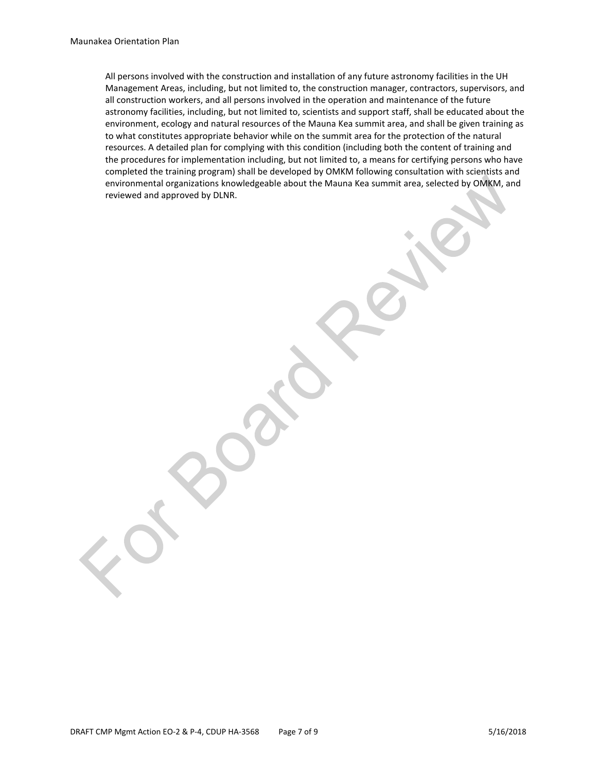All persons involved with the construction and installation of any future astronomy facilities in the UH Management Areas, including, but not limited to, the construction manager, contractors, supervisors, and all construction workers, and all persons involved in the operation and maintenance of the future astronomy facilities, including, but not limited to, scientists and support staff, shall be educated about the environment, ecology and natural resources of the Mauna Kea summit area, and shall be given training as to what constitutes appropriate behavior while on the summit area for the protection of the natural resources. A detailed plan for complying with this condition (including both the content of training and the procedures for implementation including, but not limited to, a means for certifying persons who have completed the training program) shall be developed by OMKM following consultation with scientists and environmental organizations knowledgeable about the Mauna Kea summit area, selected by OMKM, and reviewed and approved by DLNR.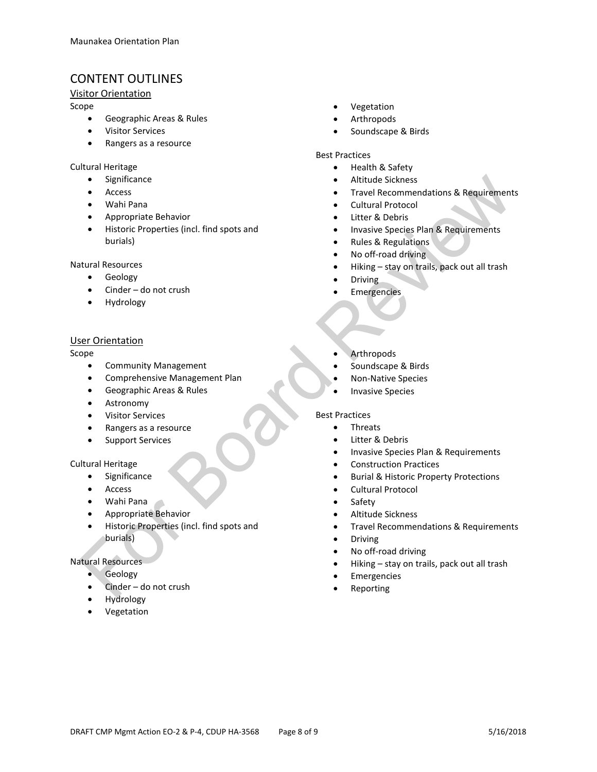## CONTENT OUTLINES

#### Visitor Orientation

Scope

- Geographic Areas & Rules
- Visitor Services
- Rangers as a resource

#### Cultural Heritage

- Significance
- Access
- Wahi Pana
- Appropriate Behavior
- Historic Properties (incl. find spots and burials)

#### Natural Resources

- **Geology**
- Cinder do not crush
- Hydrology

#### User Orientation

#### Scope

- Community Management
- Comprehensive Management Plan
- Geographic Areas & Rules
- Astronomy
- Visitor Services
- Rangers as a resource
- Support Services

#### Cultural Heritage

- Significance
- **Access**
- Wahi Pana
- Appropriate Behavior
- Historic Properties (incl. find spots and burials)

#### Natural Resources

- Geology
- Cinder do not crush
- Hydrology
- Vegetation
- **Vegetation**
- **Arthropods**
- Soundscape & Birds

#### Best Practices

- Health & Safety
- Altitude Sickness
- Travel Recommendations & Requirements
- Cultural Protocol
- Litter & Debris
- Invasive Species Plan & Requirements
- Rules & Regulations
- No off-road driving
- Hiking stay on trails, pack out all trash
- Driving
- **Emergencies**
- **Arthropods**
- Soundscape & Birds
- Non-Native Species
- **Invasive Species**

#### Best Practices

- Threats
- Litter & Debris
- Invasive Species Plan & Requirements
- Construction Practices
- Burial & Historic Property Protections
- Cultural Protocol
- Safety
- Altitude Sickness
- Travel Recommendations & Requirements
- Driving
- No off-road driving
- Hiking stay on trails, pack out all trash
- **Emergencies**
- **Reporting**